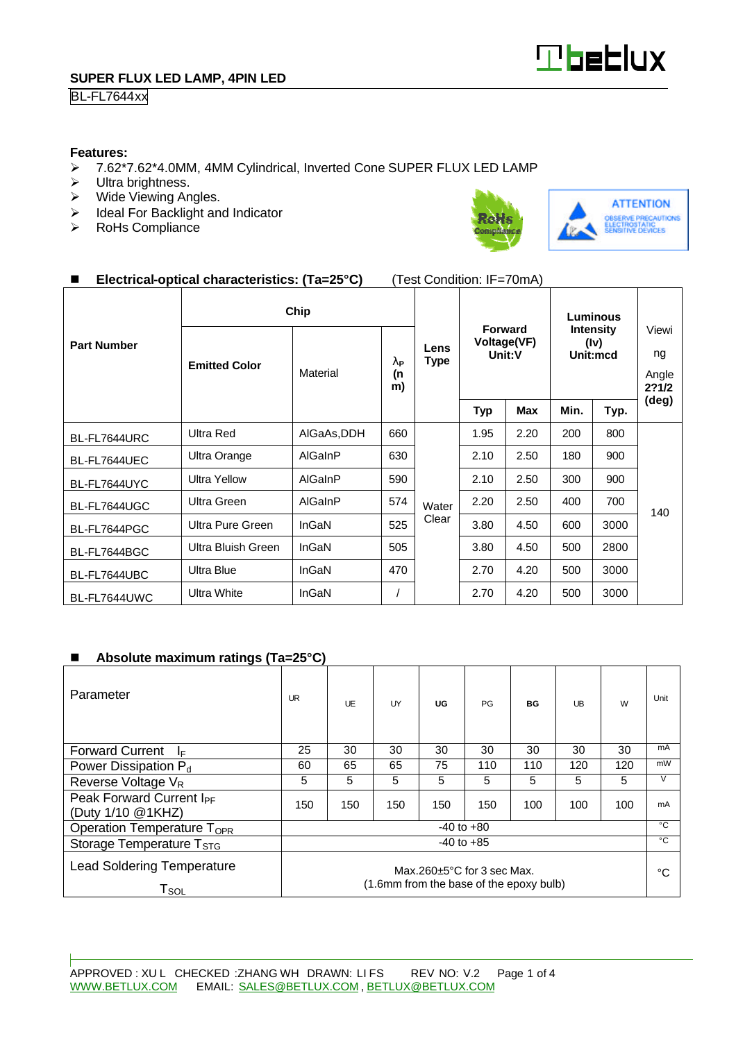

## BL-FL7644xx

#### **Features:**

- ÿ 7.62\*7.62\*4.0MM, 4MM Cylindrical, Inverted Cone SUPER FLUX LED LAMP
- $\triangleright$  Ultra brightness.
- $\triangleright$  Wide Viewing Angles.
- $\triangleright$  Ideal For Backlight and Indicator<br>  $\triangleright$  RoHs Compliance
- RoHs Compliance





## n **Electrical-optical characteristics: (Ta=25°C)** (Test Condition: IF=70mA)

|                    | Chip                 |             |                                       |                     | Luminous                                       |            |                                      |      |                               |
|--------------------|----------------------|-------------|---------------------------------------|---------------------|------------------------------------------------|------------|--------------------------------------|------|-------------------------------|
| <b>Part Number</b> | <b>Emitted Color</b> | Material    | $\mathbf{I}_{\mathrm{P}}$<br>(n<br>m) | Lens<br><b>Type</b> | <b>Forward</b><br><b>Voltage(VF)</b><br>Unit:V |            | <b>Intensity</b><br>(iv)<br>Unit:mcd |      | Viewi<br>ng<br>Angle<br>2?1/2 |
|                    |                      |             |                                       |                     | <b>Typ</b>                                     | <b>Max</b> | Min.                                 | Typ. | (deg)                         |
| BL-FL7644URC       | Ultra Red            | AIGaAs, DDH | 660                                   | Water               | 1.95                                           | 2.20       | 200                                  | 800  | 140                           |
| BL-FL7644UEC       | Ultra Orange         | AlGaInP     | 630                                   |                     | 2.10                                           | 2.50       | 180                                  | 900  |                               |
| BL-FL7644UYC       | <b>Ultra Yellow</b>  | AlGaInP     | 590                                   |                     | 2.10                                           | 2.50       | 300                                  | 900  |                               |
| BL-FL7644UGC       | Ultra Green          | AlGaInP     | 574                                   |                     | 2.20                                           | 2.50       | 400                                  | 700  |                               |
| BL-FL7644PGC       | Ultra Pure Green     | InGaN       | 525                                   | Clear               | 3.80                                           | 4.50       | 600                                  | 3000 |                               |
| BL-FL7644BGC       | Ultra Bluish Green   | InGaN       | 505                                   |                     | 3.80                                           | 4.50       | 500                                  | 2800 |                               |
| BL-FL7644UBC       | <b>Ultra Blue</b>    | InGaN       | 470                                   |                     | 2.70                                           | 4.20       | 500                                  | 3000 |                               |
| BL-FL7644UWC       | <b>Ultra White</b>   | InGaN       |                                       |                     | 2.70                                           | 4.20       | 500                                  | 3000 |                               |

#### ■ Absolute maximum ratings (Ta=25°C)

| Parameter                                                                                                                                       | <b>UR</b>      | UF  | UY  | UG  | PG  | <b>BG</b> | UB  | W   | Unit         |
|-------------------------------------------------------------------------------------------------------------------------------------------------|----------------|-----|-----|-----|-----|-----------|-----|-----|--------------|
| <b>Forward Current</b><br>I⊧                                                                                                                    | 25             | 30  | 30  | 30  | 30  | 30        | 30  | 30  | mA           |
| Power Dissipation P <sub>d</sub>                                                                                                                | 60             | 65  | 65  | 75  | 110 | 110       | 120 | 120 | mW           |
| Reverse Voltage V <sub>R</sub>                                                                                                                  | 5              | 5   | 5   | 5   | 5   | 5         | 5   | 5   | V            |
| Peak Forward Current I <sub>PF</sub><br>(Duty 1/10 @1KHZ)                                                                                       | 150            | 150 | 150 | 150 | 150 | 100       | 100 | 100 | mA           |
| Operation Temperature T <sub>OPR</sub>                                                                                                          | $-40$ to $+80$ |     |     |     |     |           |     |     | $^{\circ}$ C |
| Storage Temperature T <sub>STG</sub>                                                                                                            | $-40$ to $+85$ |     |     |     |     |           |     |     | $^{\circ}$ C |
| <b>Lead Soldering Temperature</b><br>Max.260 $\pm$ 5°C for 3 sec Max.<br>(1.6mm from the base of the epoxy bulb)<br>$\mathsf{T}_{\mathsf{SOL}}$ |                |     |     |     |     | °C        |     |     |              |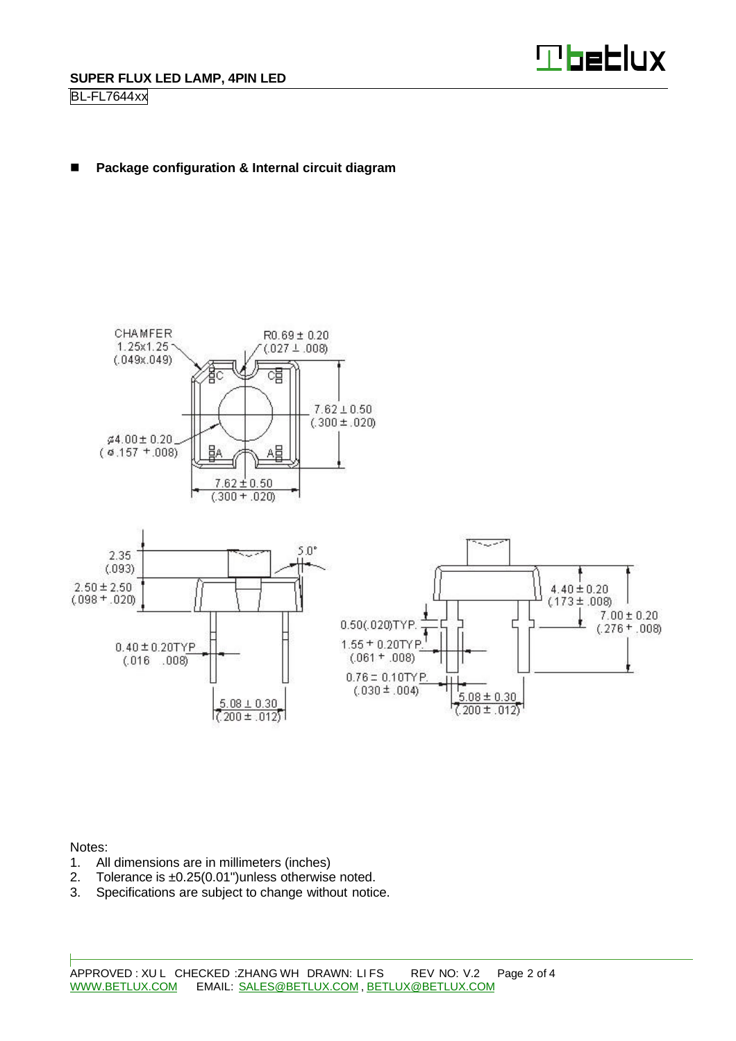

## ■ Package configuration & Internal circuit diagram



Notes:

- 1. All dimensions are in millimeters (inches)
- 2. Tolerance is ±0.25(0.01")unless otherwise noted.
- 3. Specifications are subject to change without notice.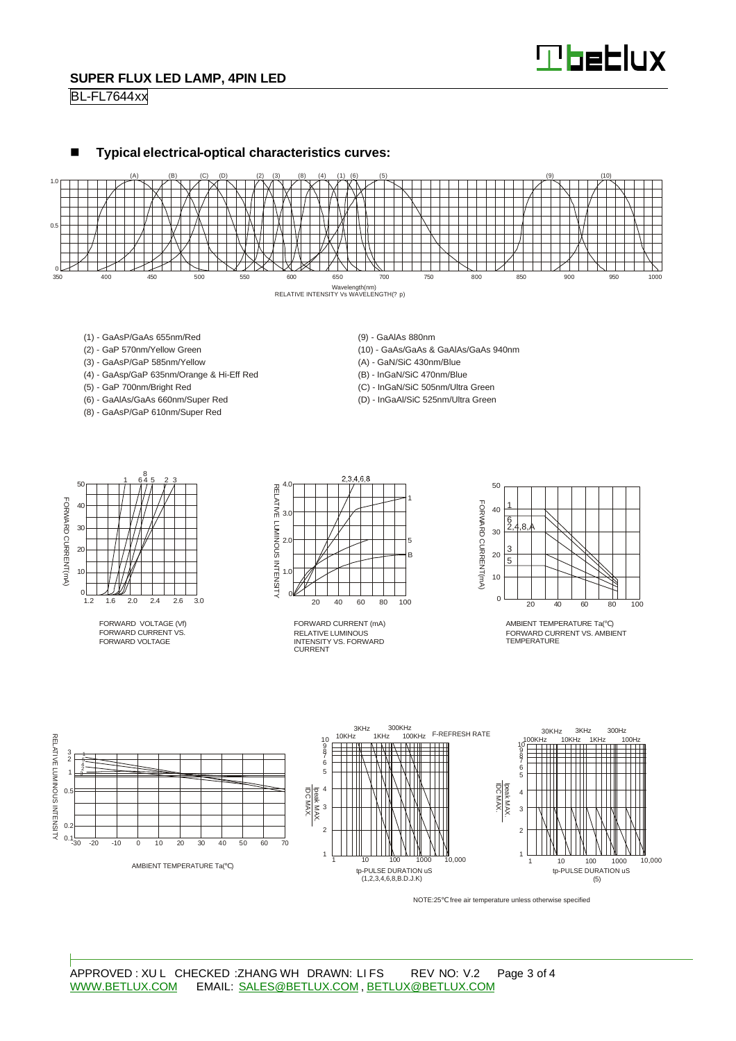# **Theblux**

### **SUPER FLUX LED LAMP, 4PIN LED**

#### BL-FL7644xx





- (1) GaAsP/GaAs 655nm/Red
- (2) GaP 570nm/Yellow Green
- (3) GaAsP/GaP 585nm/Yellow
- (4) GaAsp/GaP 635nm/Orange & Hi-Eff Red
- (5) GaP 700nm/Bright Red
- (6) GaAlAs/GaAs 660nm/Super Red
- (8) GaAsP/GaP 610nm/Super Red

(9) - GaAlAs 880nm

- (10) GaAs/GaAs & GaAlAs/GaAs 940nm
- (A) GaN/SiC 430nm/Blue
- (B) InGaN/SiC 470nm/Blue
- (C) InGaN/SiC 505nm/Ultra Green
- (D) InGaAl/SiC 525nm/Ultra Green



FORWARD VOLTAGE (Vf) FORWARD CURRENT VS. FORWARD VOLTAGE



RELATIVE LUMINOUS INTENSITY VS. FORWARD CURRENT FORWARD CURRENT (mA)



AMBIENT TEMPERATURE Ta( ) FORWARD CURRENT VS. AMBIENT TEMPERATURE



NOTE:25 free air temperature unless otherwise specified